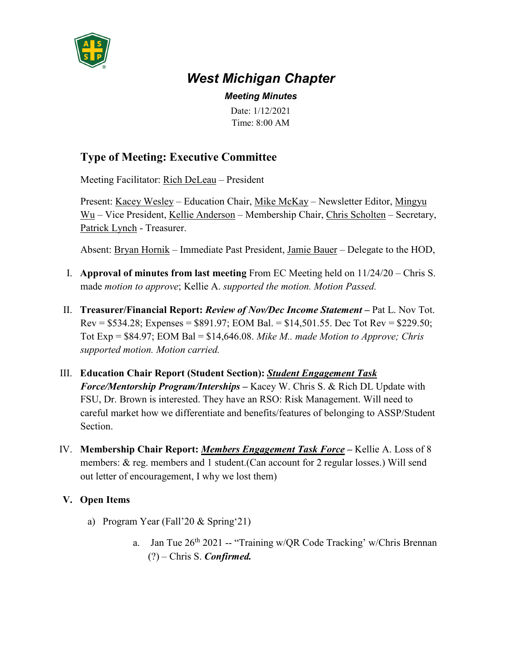

## *West Michigan Chapter*

*Meeting Minutes*

Date: 1/12/2021 Time: 8:00 AM

## **Type of Meeting: Executive Committee**

Meeting Facilitator: Rich DeLeau – President

Present: Kacey Wesley – Education Chair, Mike McKay – Newsletter Editor, Mingyu Wu – Vice President, Kellie Anderson – Membership Chair, Chris Scholten – Secretary, Patrick Lynch - Treasurer.

Absent: Bryan Hornik – Immediate Past President, Jamie Bauer – Delegate to the HOD,

- I. **Approval of minutes from last meeting** From EC Meeting held on 11/24/20 Chris S. made *motion to approve*; Kellie A. *supported the motion. Motion Passed.*
- II. **Treasurer/Financial Report:** *Review of Nov/Dec Income Statement* **–** Pat L. Nov Tot. Rev =  $$534.28$ ; Expenses =  $$891.97$ ; EOM Bal. =  $$14,501.55$ . Dec Tot Rev =  $$229.50$ ; Tot Exp = \$84.97; EOM Bal = \$14,646.08. *Mike M.. made Motion to Approve; Chris supported motion. Motion carried.*
- III. **Education Chair Report (Student Section):** *Student Engagement Task Force/Mentorship Program/Interships* **–** Kacey W. Chris S. & Rich DL Update with FSU, Dr. Brown is interested. They have an RSO: Risk Management. Will need to careful market how we differentiate and benefits/features of belonging to ASSP/Student Section.
- IV. **Membership Chair Report:** *Members Engagement Task Force* **–** Kellie A. Loss of 8 members: & reg. members and 1 student.(Can account for 2 regular losses.) Will send out letter of encouragement, I why we lost them)
- **V. Open Items**
	- a) Program Year (Fall'20 & Spring'21)
		- a. Jan Tue  $26<sup>th</sup> 2021$  -- "Training w/QR Code Tracking' w/Chris Brennan (?) – Chris S. *Confirmed.*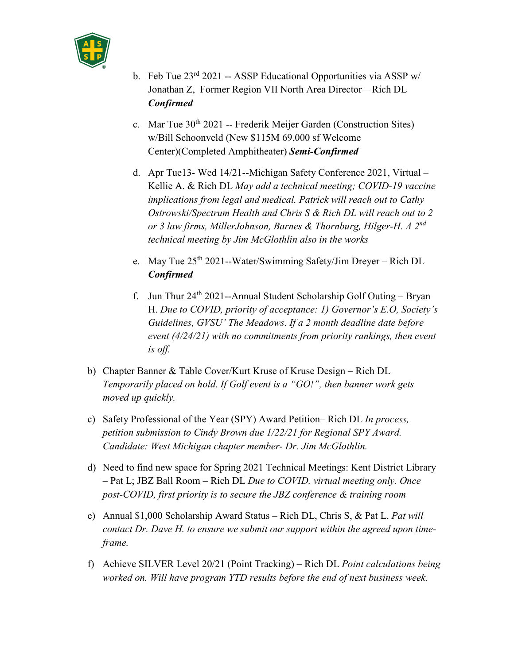

- b. Feb Tue  $23<sup>rd</sup> 2021$  -- ASSP Educational Opportunities via ASSP w/ Jonathan Z, Former Region VII North Area Director – Rich DL *Confirmed*
- c. Mar Tue  $30<sup>th</sup> 2021$  -- Frederik Meijer Garden (Construction Sites) w/Bill Schoonveld (New \$115M 69,000 sf Welcome Center)(Completed Amphitheater) *Semi-Confirmed*
- d. Apr Tue13- Wed 14/21--Michigan Safety Conference 2021, Virtual Kellie A. & Rich DL *May add a technical meeting; COVID-19 vaccine implications from legal and medical. Patrick will reach out to Cathy Ostrowski/Spectrum Health and Chris S & Rich DL will reach out to 2 or 3 law firms, MillerJohnson, Barnes & Thornburg, Hilger-H. A 2nd technical meeting by Jim McGlothlin also in the works*
- e. May Tue 25th 2021--Water/Swimming Safety/Jim Dreyer Rich DL *Confirmed*
- f. Jun Thur  $24^{th}$  2021--Annual Student Scholarship Golf Outing Bryan H. *Due to COVID, priority of acceptance: 1) Governor's E.O, Society's Guidelines, GVSU' The Meadows. If a 2 month deadline date before event (4/24/21) with no commitments from priority rankings, then event is off.*
- b) Chapter Banner & Table Cover/Kurt Kruse of Kruse Design Rich DL *Temporarily placed on hold. If Golf event is a "GO!", then banner work gets moved up quickly.*
- c) Safety Professional of the Year (SPY) Award Petition– Rich DL *In process, petition submission to Cindy Brown due 1/22/21 for Regional SPY Award. Candidate: West Michigan chapter member- Dr. Jim McGlothlin.*
- d) Need to find new space for Spring 2021 Technical Meetings: Kent District Library – Pat L; JBZ Ball Room – Rich DL *Due to COVID, virtual meeting only. Once post-COVID, first priority is to secure the JBZ conference & training room*
- e) Annual \$1,000 Scholarship Award Status Rich DL, Chris S, & Pat L. *Pat will contact Dr. Dave H. to ensure we submit our support within the agreed upon timeframe.*
- f) Achieve SILVER Level 20/21 (Point Tracking) Rich DL *Point calculations being worked on. Will have program YTD results before the end of next business week.*